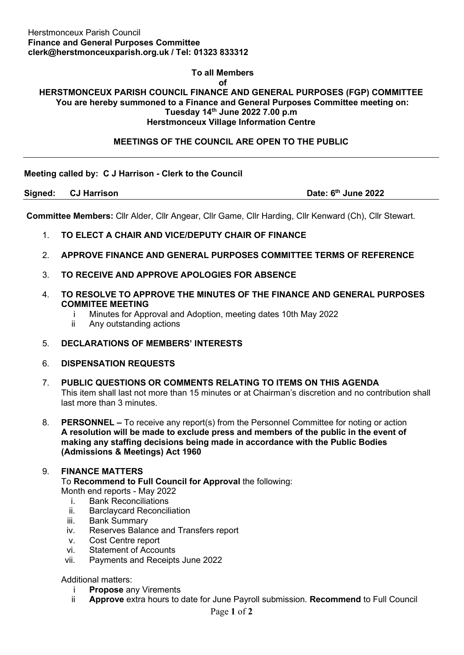### **To all Members**

**of**

#### **HERSTMONCEUX PARISH COUNCIL FINANCE AND GENERAL PURPOSES (FGP) COMMITTEE You are hereby summoned to a Finance and General Purposes Committee meeting on: Tuesday 14th June 2022 7.00 p.m Herstmonceux Village Information Centre**

## **MEETINGS OF THE COUNCIL ARE OPEN TO THE PUBLIC**

#### **Meeting called by: C J Harrison - Clerk to the Council**

**Signed: CJ Harrison Date: 6th June 2022**

**Committee Members:** Cllr Alder, Cllr Angear, Cllr Game, Cllr Harding, Cllr Kenward (Ch), Cllr Stewart.

- 1. **TO ELECT A CHAIR AND VICE/DEPUTY CHAIR OF FINANCE**
- 2. **APPROVE FINANCE AND GENERAL PURPOSES COMMITTEE TERMS OF REFERENCE**
- 3. **TO RECEIVE AND APPROVE APOLOGIES FOR ABSENCE**
- 4. **TO RESOLVE TO APPROVE THE MINUTES OF THE FINANCE AND GENERAL PURPOSES COMMITEE MEETING**
	- i Minutes for Approval and Adoption, meeting dates 10th May 2022
	- ii Any outstanding actions
- 5. **DECLARATIONS OF MEMBERS' INTERESTS**
- 6. **DISPENSATION REQUESTS**
- 7. **PUBLIC QUESTIONS OR COMMENTS RELATING TO ITEMS ON THIS AGENDA** This item shall last not more than 15 minutes or at Chairman's discretion and no contribution shall last more than 3 minutes.
- 8. **PERSONNEL –** To receive any report(s) from the Personnel Committee for noting or action **A resolution will be made to exclude press and members of the public in the event of making any staffing decisions being made in accordance with the Public Bodies (Admissions & Meetings) Act 1960**

#### 9. **FINANCE MATTERS**

To **Recommend to Full Council for Approval** the following: Month end reports - May 2022

- i. Bank Reconciliations<br>ii. Barclaycard Reconcili
- **Barclaycard Reconciliation**
- iii. Bank Summary
- iv. Reserves Balance and Transfers report
- v. Cost Centre report
- vi. Statement of Accounts
- vii. Payments and Receipts June 2022

Additional matters:

- i **Propose** any Virements
- Approve extra hours to date for June Payroll submission. Recommend to Full Council